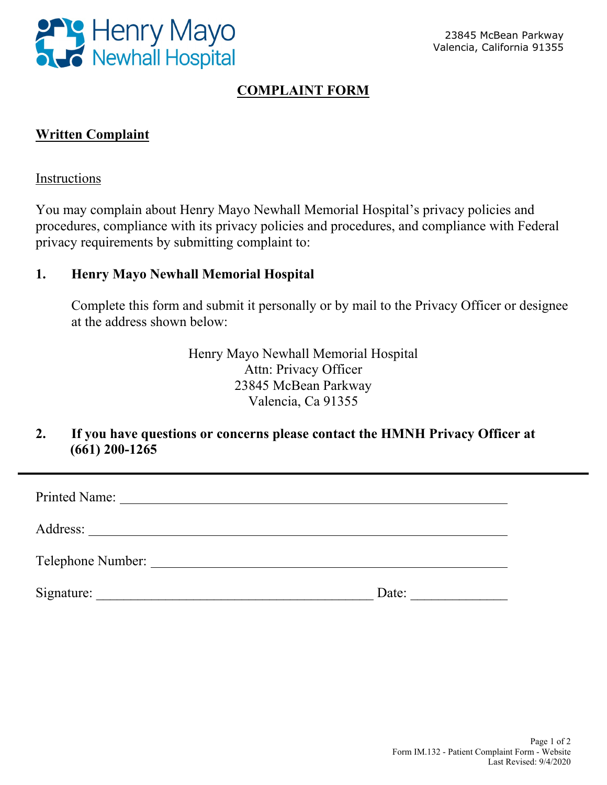

## **COMPLAINT FORM**

## **Written Complaint**

#### Instructions

You may complain about Henry Mayo Newhall Memorial Hospital's privacy policies and procedures, compliance with its privacy policies and procedures, and compliance with Federal privacy requirements by submitting complaint to:

#### **1. Henry Mayo Newhall Memorial Hospital**

Complete this form and submit it personally or by mail to the Privacy Officer or designee at the address shown below:

> Henry Mayo Newhall Memorial Hospital Attn: Privacy Officer 23845 McBean Parkway Valencia, Ca 91355

### **2. If you have questions or concerns please contact the HMNH Privacy Officer at (661) 200-1265**

| Telephone Number: |       |
|-------------------|-------|
| Signature:        | Date: |